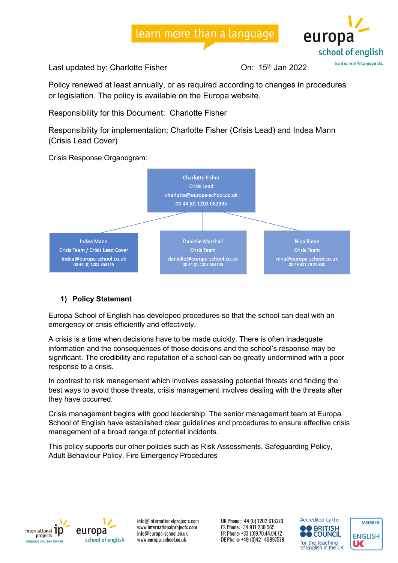

Last updated by: Charlotte Fisher Charlotte Fisher Charlotte 15th Jan 2022

Policy renewed at least annually, or as required according to changes in procedures or legislation. The policy is available on the Europa website.

Responsibility for this Document: Charlotte Fisher

Responsibility for implementation: Charlotte Fisher (Crisis Lead) and Indea Mann (Crisis Lead Cover)

Crisis Response Organogram:



#### **1) Policy Statement**

Europa School of English has developed procedures so that the school can deal with an emergency or crisis efficiently and effectively.

A crisis is a time when decisions have to be made quickly. There is often inadequate information and the consequences of those decisions and the school's response may be significant. The credibility and reputation of a school can be greatly undermined with a poor response to a crisis.

In contrast to risk management which involves assessing potential threats and finding the best ways to avoid those threats, crisis management involves dealing with the threats after they have occurred.

Crisis management begins with good leadership. The senior management team at Europa School of English have established clear guidelines and procedures to ensure effective crisis management of a broad range of potential incidents.

This policy supports our other policies such as Risk Assessments, Safeguarding Policy, Adult Behaviour Policy, Fire Emergency Procedures





info@internationalprojects.com www.internationalprojects.com info@europa-school.co.uk www.europa-school.co.uk



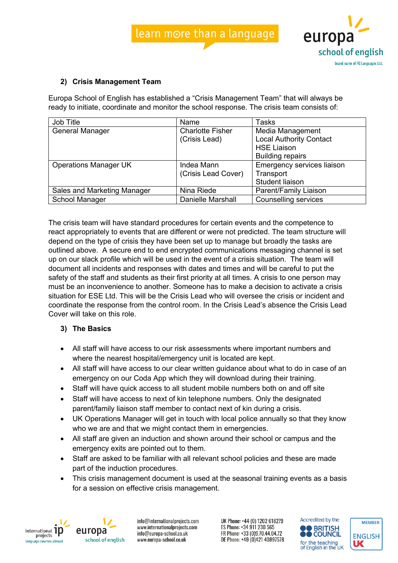

#### **2) Crisis Management Team**

Europa School of English has established a "Crisis Management Team" that will always be ready to initiate, coordinate and monitor the school response. The crisis team consists of:

| Job Title                    | Name                     | Tasks                          |
|------------------------------|--------------------------|--------------------------------|
| General Manager              | <b>Charlotte Fisher</b>  | Media Management               |
|                              | (Crisis Lead)            | <b>Local Authority Contact</b> |
|                              |                          | <b>HSE Liaison</b>             |
|                              |                          | <b>Building repairs</b>        |
| <b>Operations Manager UK</b> | Indea Mann               | Emergency services liaison     |
|                              | (Crisis Lead Cover)      | Transport                      |
|                              |                          | Student liaison                |
| Sales and Marketing Manager  | Nina Riede               | Parent/Family Liaison          |
| School Manager               | <b>Danielle Marshall</b> | Counselling services           |

The crisis team will have standard procedures for certain events and the competence to react appropriately to events that are different or were not predicted. The team structure will depend on the type of crisis they have been set up to manage but broadly the tasks are outlined above. A secure end to end encrypted communications messaging channel is set up on our slack profile which will be used in the event of a crisis situation. The team will document all incidents and responses with dates and times and will be careful to put the safety of the staff and students as their first priority at all times. A crisis to one person may must be an inconvenience to another. Someone has to make a decision to activate a crisis situation for ESE Ltd. This will be the Crisis Lead who will oversee the crisis or incident and coordinate the response from the control room. In the Crisis Lead's absence the Crisis Lead Cover will take on this role.

#### **3) The Basics**

- All staff will have access to our risk assessments where important numbers and where the nearest hospital/emergency unit is located are kept.
- All staff will have access to our clear written guidance about what to do in case of an emergency on our Coda App which they will download during their training.
- Staff will have quick access to all student mobile numbers both on and off site
- Staff will have access to next of kin telephone numbers. Only the designated parent/family liaison staff member to contact next of kin during a crisis.
- UK Operations Manager will get in touch with local police annually so that they know who we are and that we might contact them in emergencies.
- All staff are given an induction and shown around their school or campus and the emergency exits are pointed out to them.
- Staff are asked to be familiar with all relevant school policies and these are made part of the induction procedures.
- This crisis management document is used at the seasonal training events as a basis for a session on effective crisis management.



europa school of english

info@internationalprojects.com www.internationalprojects.com info@europa-school.co.uk www.europa-school.co.uk



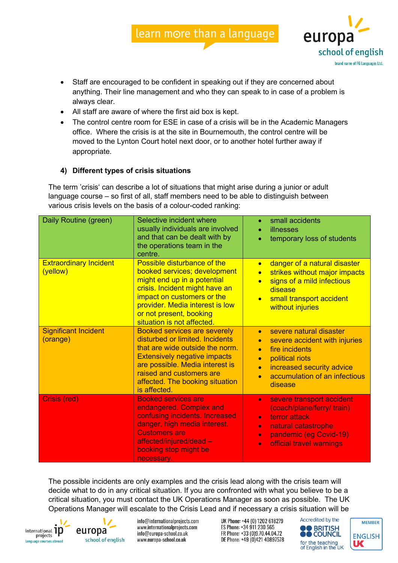- Staff are encouraged to be confident in speaking out if they are concerned about anything. Their line management and who they can speak to in case of a problem is always clear.
- All staff are aware of where the first aid box is kept.
- The control centre room for ESE in case of a crisis will be in the Academic Managers office. Where the crisis is at the site in Bournemouth, the control centre will be moved to the Lynton Court hotel next door, or to another hotel further away if appropriate.

#### **4) Different types of crisis situations**

The term 'crisis' can describe a lot of situations that might arise during a junior or adult language course – so first of all, staff members need to be able to distinguish between various crisis levels on the basis of a colour-coded ranking:

| Daily Routine (green)                     | Selective incident where<br>usually individuals are involved<br>and that can be dealt with by<br>the operations team in the<br>centre.                                                                                                                             | small accidents<br>illnesses<br>temporary loss of students                                                                                                                                                                              |
|-------------------------------------------|--------------------------------------------------------------------------------------------------------------------------------------------------------------------------------------------------------------------------------------------------------------------|-----------------------------------------------------------------------------------------------------------------------------------------------------------------------------------------------------------------------------------------|
| <b>Extraordinary Incident</b><br>(yellow) | Possible disturbance of the<br>booked services; development<br>might end up in a potential<br>crisis. Incident might have an<br>impact on customers or the<br>provider. Media interest is low<br>or not present, booking<br>situation is not affected.             | danger of a natural disaster<br>$\bullet$<br>strikes without major impacts<br>$\bullet$<br>signs of a mild infectious<br>$\bullet$<br>disease<br>small transport accident<br>$\bullet$<br>without injuries                              |
| <b>Significant Incident</b><br>(orange)   | <b>Booked services are severely</b><br>disturbed or limited. Incidents<br>that are wide outside the norm.<br><b>Extensively negative impacts</b><br>are possible. Media interest is<br>raised and customers are<br>affected. The booking situation<br>is affected. | severe natural disaster<br>$\bullet$<br>severe accident with injuries<br>fire incidents<br>$\bullet$<br>political riots<br>$\bullet$<br>increased security advice<br>$\bullet$<br>accumulation of an infectious<br>$\bullet$<br>disease |
| Crisis (red)                              | <b>Booked services are</b><br>endangered. Complex and<br>confusing incidents. Increased<br>danger, high media interest.<br><b>Customers are</b><br>affected/injured/dead -<br>booking stop might be<br>necessary.                                                  | severe transport accident<br>$\bullet$<br>(coach/plane/ferry/ train)<br>terror attack<br>$\bullet$<br>natural catastrophe<br>$\bullet$<br>pandemic (eg Covid-19)<br>$\bullet$<br>official travel warnings<br>$\bullet$                  |

The possible incidents are only examples and the crisis lead along with the crisis team will decide what to do in any critical situation. If you are confronted with what you believe to be a critical situation, you must contact the UK Operations Manager as soon as possible. The UK Operations Manager will escalate to the Crisis Lead and if necessary a crisis situation will be



europa school of english

info@internationalprojects.com www.internationalprojects.com info@europa-school.co.uk www.europa-school.co.uk

UK Phone: +44 (0) 1202 618279 ES Phone: +34 911 230 565 FR Phone: +33 (0)9.70.44.04.72 DE Phone: +49 (0)421 40897578



europa

school of english brand name of FG Languages Ltd.

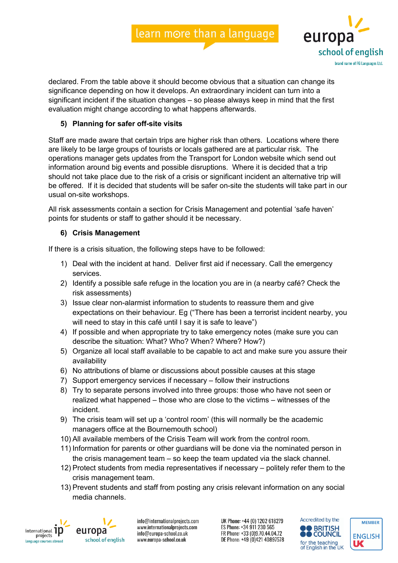

declared. From the table above it should become obvious that a situation can change its significance depending on how it develops. An extraordinary incident can turn into a significant incident if the situation changes – so please always keep in mind that the first evaluation might change according to what happens afterwards.

#### **5) Planning for safer off-site visits**

Staff are made aware that certain trips are higher risk than others. Locations where there are likely to be large groups of tourists or locals gathered are at particular risk. The operations manager gets updates from the Transport for London website which send out information around big events and possible disruptions. Where it is decided that a trip should not take place due to the risk of a crisis or significant incident an alternative trip will be offered. If it is decided that students will be safer on-site the students will take part in our usual on-site workshops.

All risk assessments contain a section for Crisis Management and potential 'safe haven' points for students or staff to gather should it be necessary.

#### **6) Crisis Management**

If there is a crisis situation, the following steps have to be followed:

- 1) Deal with the incident at hand. Deliver first aid if necessary. Call the emergency services.
- 2) Identify a possible safe refuge in the location you are in (a nearby café? Check the risk assessments)
- 3) Issue clear non-alarmist information to students to reassure them and give expectations on their behaviour. Eg ("There has been a terrorist incident nearby, you will need to stay in this café until I say it is safe to leave")
- 4) If possible and when appropriate try to take emergency notes (make sure you can describe the situation: What? Who? When? Where? How?)
- 5) Organize all local staff available to be capable to act and make sure you assure their availability
- 6) No attributions of blame or discussions about possible causes at this stage
- 7) Support emergency services if necessary follow their instructions
- 8) Try to separate persons involved into three groups: those who have not seen or realized what happened – those who are close to the victims – witnesses of the incident.
- 9) The crisis team will set up a 'control room' (this will normally be the academic managers office at the Bournemouth school)
- 10) All available members of the Crisis Team will work from the control room.
- 11) Information for parents or other guardians will be done via the nominated person in the crisis management team – so keep the team updated via the slack channel.
- 12) Protect students from media representatives if necessary politely refer them to the crisis management team.
- 13) Prevent students and staff from posting any crisis relevant information on any social media channels.



europa school of english

info@internationalprojects.com www.internationalprojects.com info@europa-school.co.uk www.europa-school.co.uk



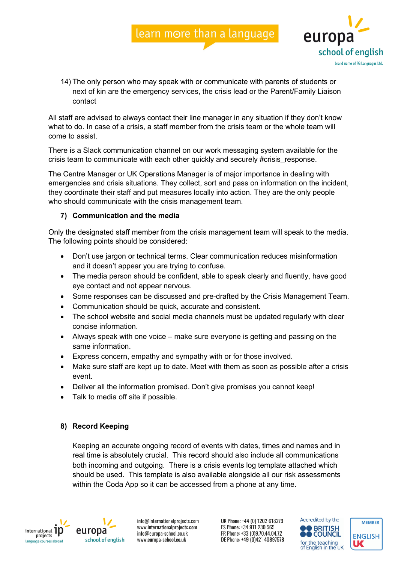

14) The only person who may speak with or communicate with parents of students or next of kin are the emergency services, the crisis lead or the Parent/Family Liaison contact

All staff are advised to always contact their line manager in any situation if they don't know what to do. In case of a crisis, a staff member from the crisis team or the whole team will come to assist.

There is a Slack communication channel on our work messaging system available for the crisis team to communicate with each other quickly and securely #crisis\_response.

The Centre Manager or UK Operations Manager is of major importance in dealing with emergencies and crisis situations. They collect, sort and pass on information on the incident, they coordinate their staff and put measures locally into action. They are the only people who should communicate with the crisis management team.

#### **7) Communication and the media**

Only the designated staff member from the crisis management team will speak to the media. The following points should be considered:

- Don't use jargon or technical terms. Clear communication reduces misinformation and it doesn't appear you are trying to confuse.
- The media person should be confident, able to speak clearly and fluently, have good eye contact and not appear nervous.
- Some responses can be discussed and pre-drafted by the Crisis Management Team.
- Communication should be quick, accurate and consistent.
- The school website and social media channels must be updated regularly with clear concise information.
- Always speak with one voice make sure everyone is getting and passing on the same information.
- Express concern, empathy and sympathy with or for those involved.
- Make sure staff are kept up to date. Meet with them as soon as possible after a crisis event.
- Deliver all the information promised. Don't give promises you cannot keep!
- Talk to media off site if possible.

#### **8) Record Keeping**

Keeping an accurate ongoing record of events with dates, times and names and in real time is absolutely crucial. This record should also include all communications both incoming and outgoing. There is a crisis events log template attached which should be used. This template is also available alongside all our risk assessments within the Coda App so it can be accessed from a phone at any time.



europa school of english

info@internationalprojects.com www.internationalprojects.com info@europa-school.co.uk www.europa-school.co.uk

UK Phone: +44 (0) 1202 618279 ES Phone: +34 911 230 565 FR Phone: +33 (0)9.70.44.04.72 DE Phone: +49 (0)421 40897578



**MEMBER** 

**ENGLISH** 

UC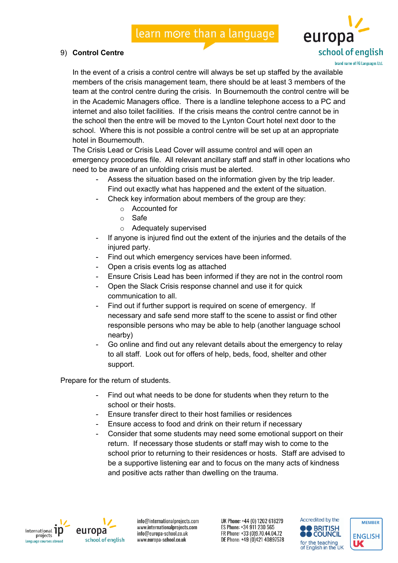#### 9) **Control Centre**



brand name of FG Languages Ltd.

In the event of a crisis a control centre will always be set up staffed by the available members of the crisis management team, there should be at least 3 members of the team at the control centre during the crisis. In Bournemouth the control centre will be in the Academic Managers office. There is a landline telephone access to a PC and internet and also toilet facilities. If the crisis means the control centre cannot be in the school then the entre will be moved to the Lynton Court hotel next door to the school. Where this is not possible a control centre will be set up at an appropriate hotel in Bournemouth.

The Crisis Lead or Crisis Lead Cover will assume control and will open an emergency procedures file. All relevant ancillary staff and staff in other locations who need to be aware of an unfolding crisis must be alerted.

- Assess the situation based on the information given by the trip leader. Find out exactly what has happened and the extent of the situation.
	- Check key information about members of the group are they:
		- o Accounted for
		- o Safe
		- o Adequately supervised
- If anyone is injured find out the extent of the injuries and the details of the injured party.
- Find out which emergency services have been informed.
- Open a crisis events log as attached
- Ensure Crisis Lead has been informed if they are not in the control room
- Open the Slack Crisis response channel and use it for quick communication to all.
- Find out if further support is required on scene of emergency. If necessary and safe send more staff to the scene to assist or find other responsible persons who may be able to help (another language school nearby)
- Go online and find out any relevant details about the emergency to relay to all staff. Look out for offers of help, beds, food, shelter and other support.

Prepare for the return of students.

- Find out what needs to be done for students when they return to the school or their hosts.
- Ensure transfer direct to their host families or residences
- Ensure access to food and drink on their return if necessary
- Consider that some students may need some emotional support on their return. If necessary those students or staff may wish to come to the school prior to returning to their residences or hosts. Staff are advised to be a supportive listening ear and to focus on the many acts of kindness and positive acts rather than dwelling on the trauma.



europa school of english

info@internationalprojects.com www.internationalprojects.com info@europa-school.co.uk www.europa-school.co.uk



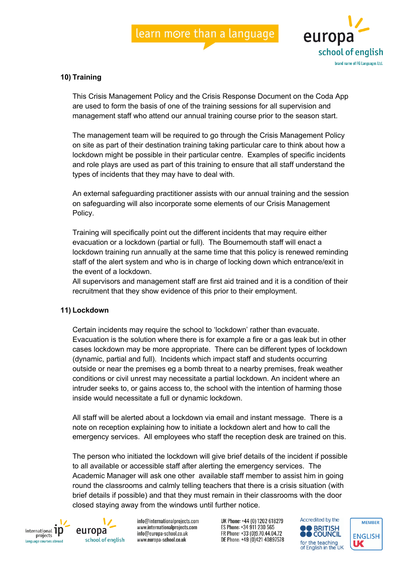

#### **10) Training**

This Crisis Management Policy and the Crisis Response Document on the Coda App are used to form the basis of one of the training sessions for all supervision and management staff who attend our annual training course prior to the season start.

The management team will be required to go through the Crisis Management Policy on site as part of their destination training taking particular care to think about how a lockdown might be possible in their particular centre. Examples of specific incidents and role plays are used as part of this training to ensure that all staff understand the types of incidents that they may have to deal with.

An external safeguarding practitioner assists with our annual training and the session on safeguarding will also incorporate some elements of our Crisis Management Policy.

Training will specifically point out the different incidents that may require either evacuation or a lockdown (partial or full). The Bournemouth staff will enact a lockdown training run annually at the same time that this policy is renewed reminding staff of the alert system and who is in charge of locking down which entrance/exit in the event of a lockdown.

All supervisors and management staff are first aid trained and it is a condition of their recruitment that they show evidence of this prior to their employment.

#### **11) Lockdown**

Certain incidents may require the school to 'lockdown' rather than evacuate. Evacuation is the solution where there is for example a fire or a gas leak but in other cases lockdown may be more appropriate. There can be different types of lockdown (dynamic, partial and full). Incidents which impact staff and students occurring outside or near the premises eg a bomb threat to a nearby premises, freak weather conditions or civil unrest may necessitate a partial lockdown. An incident where an intruder seeks to, or gains access to, the school with the intention of harming those inside would necessitate a full or dynamic lockdown.

All staff will be alerted about a lockdown via email and instant message. There is a note on reception explaining how to initiate a lockdown alert and how to call the emergency services. All employees who staff the reception desk are trained on this.

The person who initiated the lockdown will give brief details of the incident if possible to all available or accessible staff after alerting the emergency services. The Academic Manager will ask one other available staff member to assist him in going round the classrooms and calmly telling teachers that there is a crisis situation (with brief details if possible) and that they must remain in their classrooms with the door closed staying away from the windows until further notice.





info@internationalprojects.com www.internationalprojects.com info@europa-school.co.uk www.europa-school.co.uk



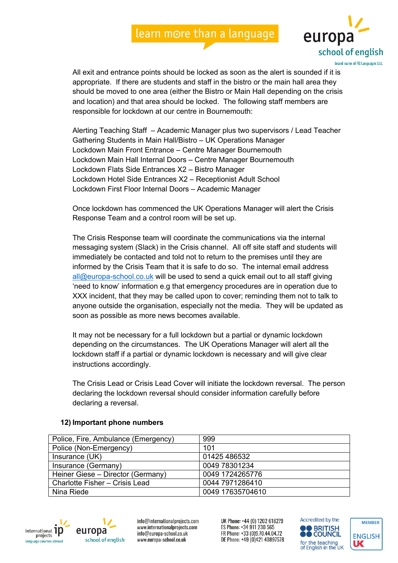

All exit and entrance points should be locked as soon as the alert is sounded if it is appropriate. If there are students and staff in the bistro or the main hall area they should be moved to one area (either the Bistro or Main Hall depending on the crisis and location) and that area should be locked. The following staff members are responsible for lockdown at our centre in Bournemouth:

Alerting Teaching Staff – Academic Manager plus two supervisors / Lead Teacher Gathering Students in Main Hall/Bistro – UK Operations Manager Lockdown Main Front Entrance – Centre Manager Bournemouth Lockdown Main Hall Internal Doors – Centre Manager Bournemouth Lockdown Flats Side Entrances X2 – Bistro Manager Lockdown Hotel Side Entrances X2 – Receptionist Adult School Lockdown First Floor Internal Doors – Academic Manager

Once lockdown has commenced the UK Operations Manager will alert the Crisis Response Team and a control room will be set up.

The Crisis Response team will coordinate the communications via the internal messaging system (Slack) in the Crisis channel. All off site staff and students will immediately be contacted and told not to return to the premises until they are informed by the Crisis Team that it is safe to do so. The internal email address all@europa-school.co.uk will be used to send a quick email out to all staff giving 'need to know' information e.g that emergency procedures are in operation due to XXX incident, that they may be called upon to cover; reminding them not to talk to anyone outside the organisation, especially not the media. They will be updated as soon as possible as more news becomes available.

It may not be necessary for a full lockdown but a partial or dynamic lockdown depending on the circumstances. The UK Operations Manager will alert all the lockdown staff if a partial or dynamic lockdown is necessary and will give clear instructions accordingly.

The Crisis Lead or Crisis Lead Cover will initiate the lockdown reversal. The person declaring the lockdown reversal should consider information carefully before declaring a reversal.

| Police, Fire, Ambulance (Emergency) | 999              |
|-------------------------------------|------------------|
| Police (Non-Emergency)              | 101              |
| Insurance (UK)                      | 01425 486532     |
| Insurance (Germany)                 | 0049 78301234    |
| Heiner Giese - Director (Germany)   | 0049 1724265776  |
| Charlotte Fisher - Crisis Lead      | 0044 7971286410  |
| Nina Riede                          | 0049 17635704610 |

#### **12) Important phone numbers**



europa school of english

info@internationalprojects.com www.internationalprojects.com info@europa-school.co.uk www.europa-school.co.uk



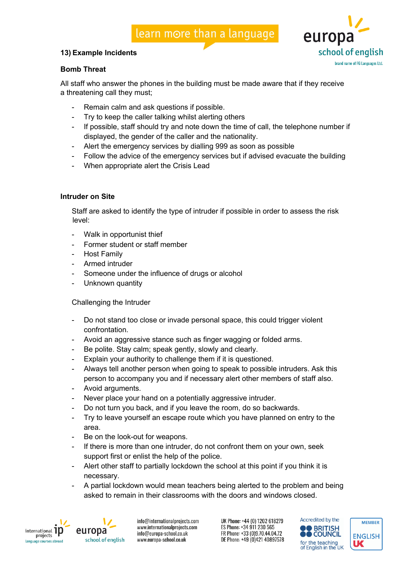#### **13) Example Incidents**



#### **Bomb Threat**

All staff who answer the phones in the building must be made aware that if they receive a threatening call they must;

- Remain calm and ask questions if possible.
- Try to keep the caller talking whilst alerting others
- If possible, staff should try and note down the time of call, the telephone number if displayed, the gender of the caller and the nationality.
- Alert the emergency services by dialling 999 as soon as possible
- Follow the advice of the emergency services but if advised evacuate the building
- When appropriate alert the Crisis Lead

#### **Intruder on Site**

Staff are asked to identify the type of intruder if possible in order to assess the risk level:

- Walk in opportunist thief
- Former student or staff member
- **Host Family**
- Armed intruder
- Someone under the influence of drugs or alcohol
- Unknown quantity

#### Challenging the Intruder

- Do not stand too close or invade personal space, this could trigger violent confrontation.
- Avoid an aggressive stance such as finger wagging or folded arms.
- Be polite. Stay calm; speak gently, slowly and clearly.
- Explain your authority to challenge them if it is questioned.
- Always tell another person when going to speak to possible intruders. Ask this person to accompany you and if necessary alert other members of staff also.
- Avoid arguments.
- Never place your hand on a potentially aggressive intruder.
- Do not turn you back, and if you leave the room, do so backwards.
- Try to leave yourself an escape route which you have planned on entry to the area.
- Be on the look-out for weapons.
- If there is more than one intruder, do not confront them on your own, seek support first or enlist the help of the police.
- Alert other staff to partially lockdown the school at this point if you think it is necessary.
- A partial lockdown would mean teachers being alerted to the problem and being asked to remain in their classrooms with the doors and windows closed.



europa school of english

info@internationalprojects.com www.internationalprojects.com info@europa-school.co.uk www.europa-school.co.uk

UK Phone: +44 (0) 1202 618279 ES Phone: +34 911 230 565 FR Phone: +33 (0)9.70.44.04.72 DE Phone: +49 (0)421 40897578



**MEMBER** 

**ENGLISH** 

UС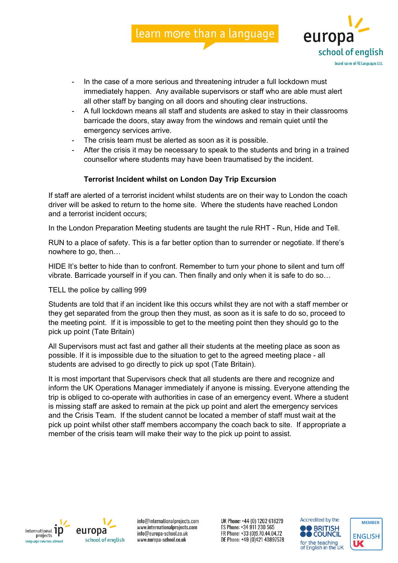

- In the case of a more serious and threatening intruder a full lockdown must immediately happen. Any available supervisors or staff who are able must alert all other staff by banging on all doors and shouting clear instructions.
- A full lockdown means all staff and students are asked to stay in their classrooms barricade the doors, stay away from the windows and remain quiet until the emergency services arrive.
- The crisis team must be alerted as soon as it is possible.
- After the crisis it may be necessary to speak to the students and bring in a trained counsellor where students may have been traumatised by the incident.

#### **Terrorist Incident whilst on London Day Trip Excursion**

If staff are alerted of a terrorist incident whilst students are on their way to London the coach driver will be asked to return to the home site. Where the students have reached London and a terrorist incident occurs;

In the London Preparation Meeting students are taught the rule RHT - Run, Hide and Tell.

RUN to a place of safety. This is a far better option than to surrender or negotiate. If there's nowhere to go, then…

HIDE It's better to hide than to confront. Remember to turn your phone to silent and turn off vibrate. Barricade yourself in if you can. Then finally and only when it is safe to do so…

#### TELL the police by calling 999

Students are told that if an incident like this occurs whilst they are not with a staff member or they get separated from the group then they must, as soon as it is safe to do so, proceed to the meeting point. If it is impossible to get to the meeting point then they should go to the pick up point (Tate Britain)

All Supervisors must act fast and gather all their students at the meeting place as soon as possible. If it is impossible due to the situation to get to the agreed meeting place - all students are advised to go directly to pick up spot (Tate Britain).

It is most important that Supervisors check that all students are there and recognize and inform the UK Operations Manager immediately if anyone is missing. Everyone attending the trip is obliged to co-operate with authorities in case of an emergency event. Where a student is missing staff are asked to remain at the pick up point and alert the emergency services and the Crisis Team. If the student cannot be located a member of staff must wait at the pick up point whilst other staff members accompany the coach back to site. If appropriate a member of the crisis team will make their way to the pick up point to assist.





info@internationalprojects.com www.internationalprojects.com info@europa-school.co.uk www.europa-school.co.uk

UK Phone: +44 (0) 1202 618279 ES Phone: +34 911 230 565 FR Phone: +33 (0)9.70.44.04.72 DE Phone: +49 (0)421 40897578



**MEMBER** 

**ENGLISH** 

UС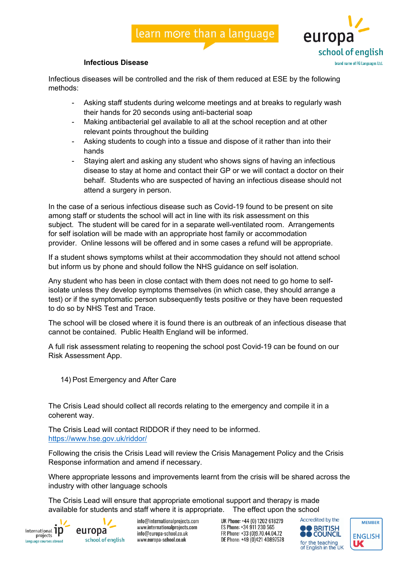

#### **Infectious Disease**

Infectious diseases will be controlled and the risk of them reduced at ESE by the following methods:

- Asking staff students during welcome meetings and at breaks to regularly wash their hands for 20 seconds using anti-bacterial soap
- Making antibacterial gel available to all at the school reception and at other relevant points throughout the building
- Asking students to cough into a tissue and dispose of it rather than into their hands
- Staying alert and asking any student who shows signs of having an infectious disease to stay at home and contact their GP or we will contact a doctor on their behalf. Students who are suspected of having an infectious disease should not attend a surgery in person.

In the case of a serious infectious disease such as Covid-19 found to be present on site among staff or students the school will act in line with its risk assessment on this subject. The student will be cared for in a separate well-ventilated room. Arrangements for self isolation will be made with an appropriate host family or accommodation provider. Online lessons will be offered and in some cases a refund will be appropriate.

If a student shows symptoms whilst at their accommodation they should not attend school but inform us by phone and should follow the NHS guidance on self isolation.

Any student who has been in close contact with them does not need to go home to selfisolate unless they develop symptoms themselves (in which case, they should arrange a test) or if the symptomatic person subsequently tests positive or they have been requested to do so by NHS Test and Trace.

The school will be closed where it is found there is an outbreak of an infectious disease that cannot be contained. Public Health England will be informed.

A full risk assessment relating to reopening the school post Covid-19 can be found on our Risk Assessment App.

14) Post Emergency and After Care

The Crisis Lead should collect all records relating to the emergency and compile it in a coherent way.

The Crisis Lead will contact RIDDOR if they need to be informed. https://www.hse.gov.uk/riddor/

Following the crisis the Crisis Lead will review the Crisis Management Policy and the Crisis Response information and amend if necessary.

Where appropriate lessons and improvements learnt from the crisis will be shared across the industry with other language schools

The Crisis Lead will ensure that appropriate emotional support and therapy is made available for students and staff where it is appropriate. The effect upon the school





info@internationalprojects.com www.internationalprojects.com info@europa-school.co.uk www.europa-school.co.uk



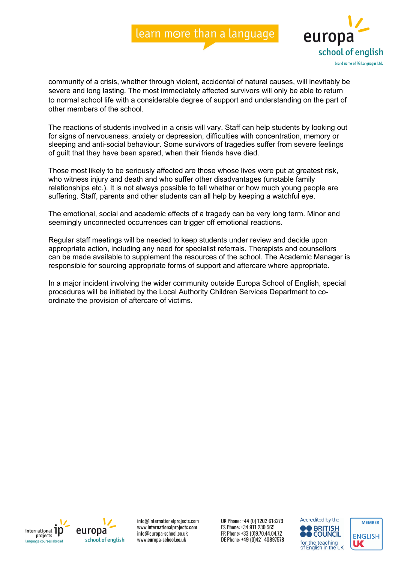

community of a crisis, whether through violent, accidental of natural causes, will inevitably be severe and long lasting. The most immediately affected survivors will only be able to return to normal school life with a considerable degree of support and understanding on the part of other members of the school.

The reactions of students involved in a crisis will vary. Staff can help students by looking out for signs of nervousness, anxiety or depression, difficulties with concentration, memory or sleeping and anti-social behaviour. Some survivors of tragedies suffer from severe feelings of guilt that they have been spared, when their friends have died.

Those most likely to be seriously affected are those whose lives were put at greatest risk, who witness injury and death and who suffer other disadvantages (unstable family relationships etc.). It is not always possible to tell whether or how much young people are suffering. Staff, parents and other students can all help by keeping a watchful eye.

The emotional, social and academic effects of a tragedy can be very long term. Minor and seemingly unconnected occurrences can trigger off emotional reactions.

Regular staff meetings will be needed to keep students under review and decide upon appropriate action, including any need for specialist referrals. Therapists and counsellors can be made available to supplement the resources of the school. The Academic Manager is responsible for sourcing appropriate forms of support and aftercare where appropriate.

In a major incident involving the wider community outside Europa School of English, special procedures will be initiated by the Local Authority Children Services Department to coordinate the provision of aftercare of victims.





info@internationalprojects.com www.internationalprojects.com info@europa-school.co.uk www.europa-school.co.uk



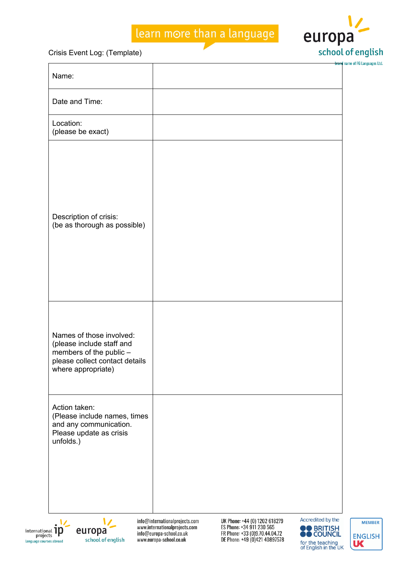

Crisis Event Log: (Template)

| Name:                                                                                                                                    |                                                                 |                                                            |                                       |
|------------------------------------------------------------------------------------------------------------------------------------------|-----------------------------------------------------------------|------------------------------------------------------------|---------------------------------------|
| Date and Time:                                                                                                                           |                                                                 |                                                            |                                       |
| Location:<br>(please be exact)                                                                                                           |                                                                 |                                                            |                                       |
| Description of crisis:<br>(be as thorough as possible)                                                                                   |                                                                 |                                                            |                                       |
| Names of those involved:<br>(please include staff and<br>members of the public -<br>please collect contact details<br>where appropriate) |                                                                 |                                                            |                                       |
| Action taken:<br>(Please include names, times<br>and any communication.<br>Please update as crisis<br>unfolds.)                          |                                                                 |                                                            |                                       |
| $_{\sf nat}$ in<br>europa                                                                                                                | info@internationalprojects.com<br>www.internationalprojects.com | UK Phone: +44 (0) 1202 618279<br>ES Phone: +34 911 230 565 | Accredited by the<br><b>O</b> BRITISH |





info@europa-school.co.uk www.europa-school.co.uk